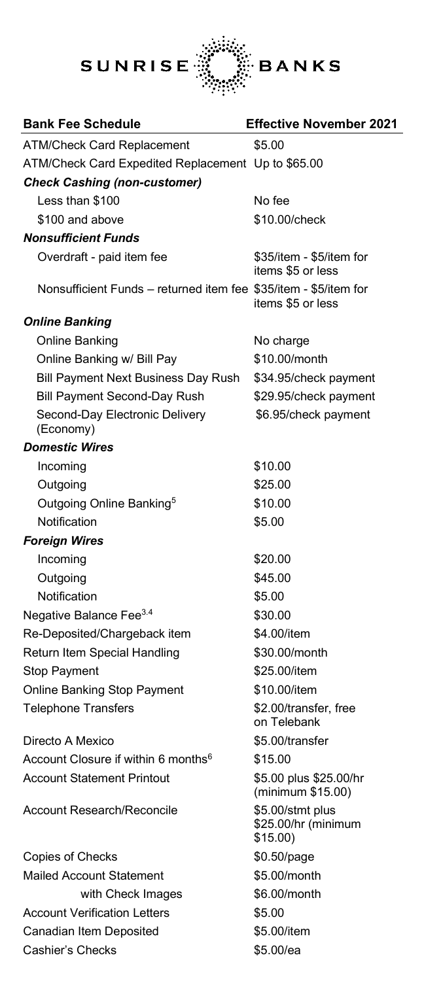

| <b>Bank Fee Schedule</b>                                         | <b>Effective November 2021</b>                      |
|------------------------------------------------------------------|-----------------------------------------------------|
| <b>ATM/Check Card Replacement</b>                                | \$5.00                                              |
| ATM/Check Card Expedited Replacement Up to \$65.00               |                                                     |
| <b>Check Cashing (non-customer)</b>                              |                                                     |
| Less than \$100                                                  | No fee                                              |
| \$100 and above                                                  | \$10.00/check                                       |
| <b>Nonsufficient Funds</b>                                       |                                                     |
| Overdraft - paid item fee                                        | \$35/item - \$5/item for<br>items \$5 or less       |
| Nonsufficient Funds – returned item fee \$35/item - \$5/item for | items \$5 or less                                   |
| <b>Online Banking</b>                                            |                                                     |
| Online Banking                                                   | No charge                                           |
| Online Banking w/ Bill Pay                                       | \$10.00/month                                       |
| Bill Payment Next Business Day Rush                              | \$34.95/check payment                               |
| <b>Bill Payment Second-Day Rush</b>                              | \$29.95/check payment                               |
| Second-Day Electronic Delivery<br>(Economy)                      | \$6.95/check payment                                |
| <b>Domestic Wires</b>                                            |                                                     |
| Incoming                                                         | \$10.00                                             |
| Outgoing                                                         | \$25.00                                             |
| Outgoing Online Banking <sup>5</sup>                             | \$10.00                                             |
| Notification                                                     | \$5.00                                              |
| <b>Foreign Wires</b>                                             |                                                     |
| Incoming                                                         | \$20.00                                             |
| Outgoing                                                         | \$45.00                                             |
| Notification                                                     | \$5.00                                              |
| Negative Balance Fee <sup>3.4</sup>                              | \$30.00                                             |
| Re-Deposited/Chargeback item                                     | \$4.00/item                                         |
| Return Item Special Handling                                     | \$30.00/month                                       |
| <b>Stop Payment</b>                                              | \$25.00/item                                        |
| Online Banking Stop Payment                                      | \$10.00/item                                        |
| <b>Telephone Transfers</b>                                       | \$2.00/transfer, free<br>on Telebank                |
| Directo A Mexico                                                 | \$5.00/transfer                                     |
| Account Closure if within 6 months <sup>6</sup>                  | \$15.00                                             |
| <b>Account Statement Printout</b>                                | \$5.00 plus \$25.00/hr<br>(minimum \$15.00)         |
| <b>Account Research/Reconcile</b>                                | \$5.00/stmt plus<br>\$25.00/hr (minimum<br>\$15.00) |
| Copies of Checks                                                 | \$0.50/page                                         |
| Mailed Account Statement                                         | \$5.00/month                                        |
| with Check Images                                                | \$6.00/month                                        |
| <b>Account Verification Letters</b>                              | \$5.00                                              |
| Canadian Item Deposited                                          | \$5.00/item                                         |
| Cashier's Checks                                                 | \$5.00/ea                                           |
|                                                                  |                                                     |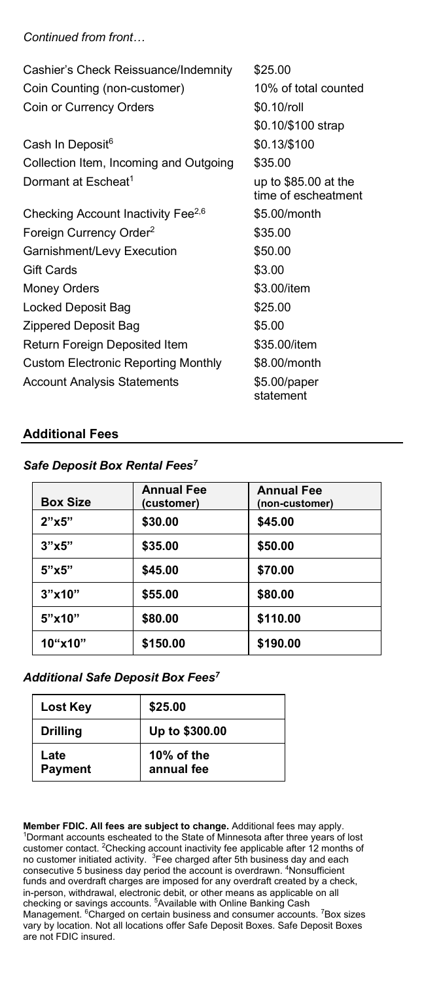*Continued from front…*

| Cashier's Check Reissuance/Indemnity           | \$25.00                                      |
|------------------------------------------------|----------------------------------------------|
| Coin Counting (non-customer)                   | 10% of total counted                         |
| Coin or Currency Orders                        | \$0.10/roll                                  |
|                                                | \$0.10/\$100 strap                           |
| Cash In Deposit <sup>6</sup>                   | \$0.13/\$100                                 |
| Collection Item, Incoming and Outgoing         | \$35.00                                      |
| Dormant at Escheat <sup>1</sup>                | up to $$85.00$ at the<br>time of escheatment |
| Checking Account Inactivity Fee <sup>2,6</sup> | \$5.00/month                                 |
| Foreign Currency Order <sup>2</sup>            | \$35.00                                      |
| Garnishment/Levy Execution                     | \$50.00                                      |
| <b>Gift Cards</b>                              | \$3.00                                       |
| <b>Money Orders</b>                            | \$3.00/item                                  |
| Locked Deposit Bag                             | \$25.00                                      |
| Zippered Deposit Bag                           | \$5.00                                       |
| Return Foreign Deposited Item                  | \$35.00/item                                 |
| <b>Custom Electronic Reporting Monthly</b>     | \$8.00/month                                 |
| <b>Account Analysis Statements</b>             | \$5.00/paper<br>statement                    |

### **Additional Fees**

#### *Safe Deposit Box Rental Fees7*

| <b>Box Size</b> | <b>Annual Fee</b><br>(customer) | <b>Annual Fee</b><br>(non-customer) |
|-----------------|---------------------------------|-------------------------------------|
| 2"x5"           | \$30.00                         | \$45.00                             |
| 3"x5"           | \$35.00                         | \$50.00                             |
| 5"x5"           | \$45.00                         | \$70.00                             |
| 3"x10"          | \$55.00                         | \$80.00                             |
| 5"x10"          | \$80.00                         | \$110.00                            |
| 10"x10"         | \$150.00                        | \$190.00                            |

#### *Additional Safe Deposit Box Fees7*

| Lost Key        | \$25.00                  |
|-----------------|--------------------------|
| <b>Drilling</b> | Up to \$300.00           |
| Late<br>Payment | 10% of the<br>annual fee |

**Member FDIC. All fees are subject to change.** Additional fees may apply.<br><sup>1</sup>Dormant accounts escheated to the State of Minnesota after three years of lost customer contact. <sup>2</sup>Checking account inactivity fee applicable after 12 months of<br>no customer initiated activity. <sup>3</sup>Fee charged after 5th business day and each consecutive 5 business day period the account is overdrawn. <sup>4</sup>Nonsufficient funds and overdraft charges are imposed for any overdraft created by a check, in-person, withdrawal, electronic debit, or other means as applicable on all checking or savings accounts. <sup>5</sup>Available with Online Banking Cash Management. <sup>6</sup>Charged on certain business and consumer accounts. <sup>7</sup>Box sizes vary by location. Not all locations offer Safe Deposit Boxes. Safe Deposit Boxes are not FDIC insured.